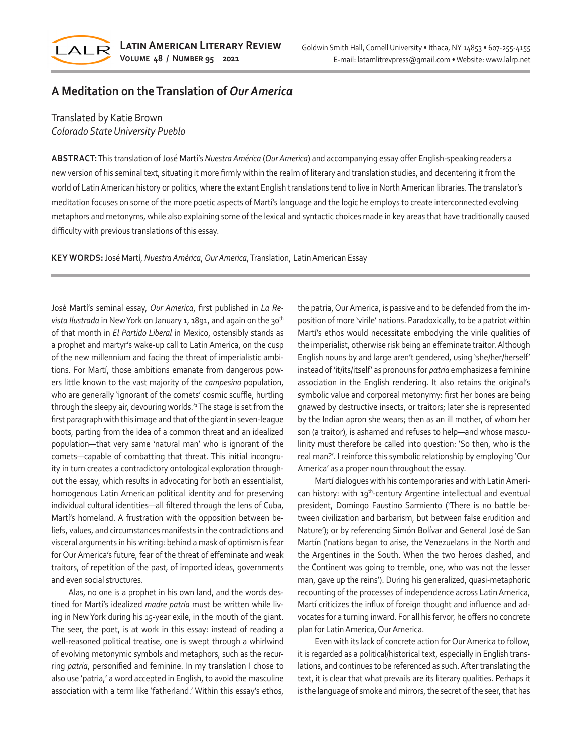

# **A Meditation on the Translation of** *Our America*

### Translated by Katie Brown *Colorado State University Pueblo*

**ABSTRACT:** This translation of José Martí's *Nuestra América* (*Our America*) and accompanying essay offer English-speaking readers a new version of his seminal text, situating it more firmly within the realm of literary and translation studies, and decentering it from the world of Latin American history or politics, where the extant English translations tend to live in North American libraries. The translator's meditation focuses on some of the more poetic aspects of Martí's language and the logic he employs to create interconnected evolving metaphors and metonyms, while also explaining some of the lexical and syntactic choices made in key areas that have traditionally caused difficulty with previous translations of this essay.

#### **KEY WORDS:** José Martí, *Nuestra América*, *Our America*, Translation, Latin American Essay

José Martí's seminal essay, *Our America*, first published in *La Re*vista Ilustrada in New York on January 1, 1891, and again on the 30<sup>th</sup> of that month in *El Partido Liberal* in Mexico, ostensibly stands as a prophet and martyr's wake-up call to Latin America, on the cusp of the new millennium and facing the threat of imperialistic ambitions. For Martí, those ambitions emanate from dangerous powers little known to the vast majority of the *campesino* population, who are generally 'ignorant of the comets' cosmic scuffle, hurtling through the sleepy air, devouring worlds.'<sup>1</sup>The stage is set from the first paragraph with this image and that of the giant in seven-league boots, parting from the idea of a common threat and an idealized population—that very same 'natural man' who is ignorant of the comets—capable of combatting that threat. This initial incongruity in turn creates a contradictory ontological exploration throughout the essay, which results in advocating for both an essentialist, homogenous Latin American political identity and for preserving individual cultural identities—all filtered through the lens of Cuba, Martí's homeland. A frustration with the opposition between beliefs, values, and circumstances manifests in the contradictions and visceral arguments in his writing: behind a mask of optimism is fear for Our America's future, fear of the threat of effeminate and weak traitors, of repetition of the past, of imported ideas, governments and even social structures.

Alas, no one is a prophet in his own land, and the words destined for Martí's idealized *madre patria* must be written while living in New York during his 15-year exile, in the mouth of the giant. The seer, the poet, is at work in this essay: instead of reading a well-reasoned political treatise, one is swept through a whirlwind of evolving metonymic symbols and metaphors, such as the recurring *patria*, personified and feminine. In my translation I chose to also use 'patria,' a word accepted in English, to avoid the masculine association with a term like 'fatherland.' Within this essay's ethos,

the patria, Our America, is passive and to be defended from the imposition of more 'virile' nations. Paradoxically, to be a patriot within Martí's ethos would necessitate embodying the virile qualities of the imperialist, otherwise risk being an effeminate traitor. Although English nouns by and large aren't gendered, using 'she/her/herself' instead of 'it/its/itself' as pronouns for *patria* emphasizes a feminine association in the English rendering. It also retains the original's symbolic value and corporeal metonymy: first her bones are being gnawed by destructive insects, or traitors; later she is represented by the Indian apron she wears; then as an ill mother, of whom her son (a traitor), is ashamed and refuses to help—and whose masculinity must therefore be called into question: 'So then, who is the real man?'. I reinforce this symbolic relationship by employing 'Our America' as a proper noun throughout the essay.

Martí dialogues with his contemporaries and with Latin American history: with 19<sup>th</sup>-century Argentine intellectual and eventual president, Domingo Faustino Sarmiento ('There is no battle between civilization and barbarism, but between false erudition and Nature'); or by referencing Simón Bolívar and General José de San Martín ('nations began to arise, the Venezuelans in the North and the Argentines in the South. When the two heroes clashed, and the Continent was going to tremble, one, who was not the lesser man, gave up the reins'). During his generalized, quasi-metaphoric recounting of the processes of independence across Latin America, Martí criticizes the influx of foreign thought and influence and advocates for a turning inward. For all his fervor, he offers no concrete plan for Latin America, Our America.

Even with its lack of concrete action for Our America to follow, it is regarded as a political/historical text, especially in English translations, and continues to be referenced as such. After translating the text, it is clear that what prevails are its literary qualities. Perhaps it is the language of smoke and mirrors, the secret of the seer, that has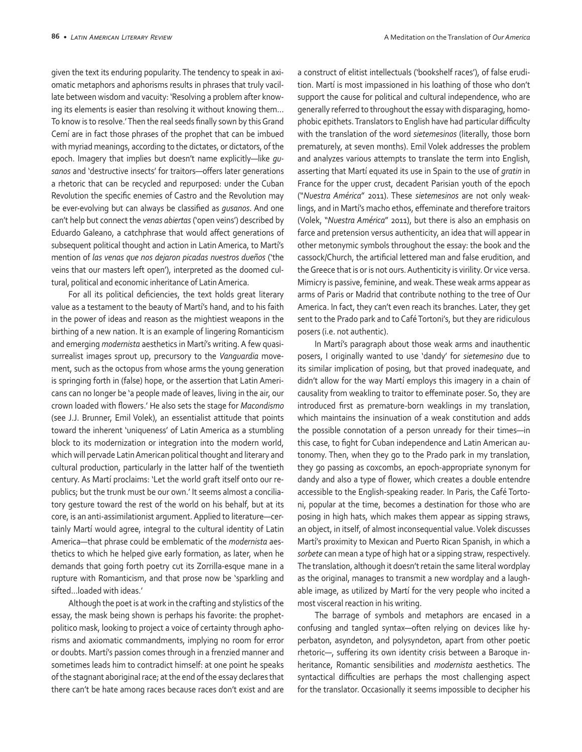given the text its enduring popularity. The tendency to speak in axiomatic metaphors and aphorisms results in phrases that truly vacillate between wisdom and vacuity: 'Resolving a problem after knowing its elements is easier than resolving it without knowing them… To know is to resolve.' Then the real seeds finally sown by this Grand Cemí are in fact those phrases of the prophet that can be imbued with myriad meanings, according to the dictates, or dictators, of the epoch. Imagery that implies but doesn't name explicitly—like *gusanos* and 'destructive insects' for traitors—offers later generations a rhetoric that can be recycled and repurposed: under the Cuban Revolution the specific enemies of Castro and the Revolution may be ever-evolving but can always be classified as *gusanos*. And one can't help but connect the *venas abiertas* ('open veins') described by Eduardo Galeano, a catchphrase that would affect generations of subsequent political thought and action in Latin America, to Martí's mention of *las venas que nos dejaron picadas nuestros dueños* ('the veins that our masters left open'), interpreted as the doomed cultural, political and economic inheritance of Latin America.

For all its political deficiencies, the text holds great literary value as a testament to the beauty of Martí's hand, and to his faith in the power of ideas and reason as the mightiest weapons in the birthing of a new nation. It is an example of lingering Romanticism and emerging *modernista* aesthetics in Martí's writing. A few quasisurrealist images sprout up, precursory to the *Vanguardia* movement, such as the octopus from whose arms the young generation is springing forth in (false) hope, or the assertion that Latin Americans can no longer be 'a people made of leaves, living in the air, our crown loaded with flowers.' He also sets the stage for *Macondismo* (see J.J. Brunner, Emil Volek), an essentialist attitude that points toward the inherent 'uniqueness' of Latin America as a stumbling block to its modernization or integration into the modern world, which will pervade Latin American political thought and literary and cultural production, particularly in the latter half of the twentieth century. As Martí proclaims: 'Let the world graft itself onto our republics; but the trunk must be our own.' It seems almost a conciliatory gesture toward the rest of the world on his behalf, but at its core, is an anti-assimilationist argument. Applied to literature—certainly Martí would agree, integral to the cultural identity of Latin America—that phrase could be emblematic of the *modernista* aesthetics to which he helped give early formation, as later, when he demands that going forth poetry cut its Zorrilla-esque mane in a rupture with Romanticism, and that prose now be 'sparkling and sifted…loaded with ideas.'

Although the poet is at work in the crafting and stylistics of the essay, the mask being shown is perhaps his favorite: the prophetpolitico mask, looking to project a voice of certainty through aphorisms and axiomatic commandments, implying no room for error or doubts. Martí's passion comes through in a frenzied manner and sometimes leads him to contradict himself: at one point he speaks of the stagnant aboriginal race; at the end of the essay declares that there can't be hate among races because races don't exist and are a construct of elitist intellectuals ('bookshelf races'), of false erudition. Martí is most impassioned in his loathing of those who don't support the cause for political and cultural independence, who are generally referred to throughout the essay with disparaging, homophobic epithets. Translators to English have had particular difficulty with the translation of the word *sietemesinos* (literally, those born prematurely, at seven months). Emil Volek addresses the problem and analyzes various attempts to translate the term into English, asserting that Martí equated its use in Spain to the use of *gratin* in France for the upper crust, decadent Parisian youth of the epoch ("*Nuestra América*" 2011). These *sietemesinos* are not only weaklings, and in Martí's macho ethos, effeminate and therefore traitors (Volek, "*Nuestra América*" 2011), but there is also an emphasis on farce and pretension versus authenticity, an idea that will appear in other metonymic symbols throughout the essay: the book and the cassock/Church, the artificial lettered man and false erudition, and the Greece that is or is not ours. Authenticity is virility. Or vice versa. Mimicry is passive, feminine, and weak. These weak arms appear as arms of Paris or Madrid that contribute nothing to the tree of Our America. In fact, they can't even reach its branches. Later, they get sent to the Prado park and to Café Tortoni's, but they are ridiculous posers (i.e. not authentic).

In Martí's paragraph about those weak arms and inauthentic posers, I originally wanted to use 'dandy' for *sietemesino* due to its similar implication of posing, but that proved inadequate, and didn't allow for the way Martí employs this imagery in a chain of causality from weakling to traitor to effeminate poser. So, they are introduced first as premature-born weaklings in my translation, which maintains the insinuation of a weak constitution and adds the possible connotation of a person unready for their times—in this case, to fight for Cuban independence and Latin American autonomy. Then, when they go to the Prado park in my translation, they go passing as coxcombs, an epoch-appropriate synonym for dandy and also a type of flower, which creates a double entendre accessible to the English-speaking reader. In Paris, the Café Tortoni, popular at the time, becomes a destination for those who are posing in high hats, which makes them appear as sipping straws, an object, in itself, of almost inconsequential value. Volek discusses Martí's proximity to Mexican and Puerto Rican Spanish, in which a *sorbete* can mean a type of high hat or a sipping straw, respectively. The translation, although it doesn't retain the same literal wordplay as the original, manages to transmit a new wordplay and a laughable image, as utilized by Martí for the very people who incited a most visceral reaction in his writing.

The barrage of symbols and metaphors are encased in a confusing and tangled syntax—often relying on devices like hyperbaton, asyndeton, and polysyndeton, apart from other poetic rhetoric—, suffering its own identity crisis between a Baroque inheritance, Romantic sensibilities and *modernista* aesthetics. The syntactical difficulties are perhaps the most challenging aspect for the translator. Occasionally it seems impossible to decipher his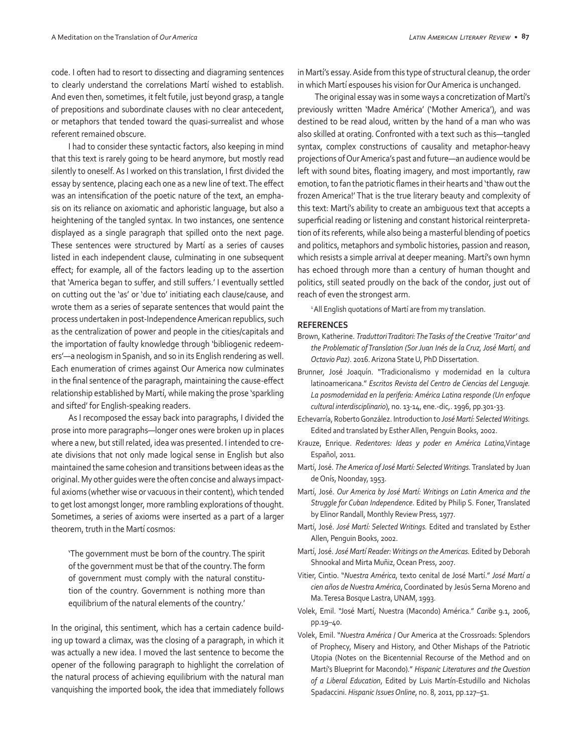code. I often had to resort to dissecting and diagraming sentences to clearly understand the correlations Martí wished to establish. And even then, sometimes, it felt futile, just beyond grasp, a tangle of prepositions and subordinate clauses with no clear antecedent, or metaphors that tended toward the quasi-surrealist and whose referent remained obscure.

I had to consider these syntactic factors, also keeping in mind that this text is rarely going to be heard anymore, but mostly read silently to oneself. As I worked on this translation, I first divided the essay by sentence, placing each one as a new line of text. The effect was an intensification of the poetic nature of the text, an emphasis on its reliance on axiomatic and aphoristic language, but also a heightening of the tangled syntax. In two instances, one sentence displayed as a single paragraph that spilled onto the next page. These sentences were structured by Martí as a series of causes listed in each independent clause, culminating in one subsequent effect; for example, all of the factors leading up to the assertion that 'America began to suffer, and still suffers.' I eventually settled on cutting out the 'as' or 'due to' initiating each clause/cause, and wrote them as a series of separate sentences that would paint the process undertaken in post-Independence American republics, such as the centralization of power and people in the cities/capitals and the importation of faulty knowledge through 'bibliogenic redeemers'—a neologism in Spanish, and so in its English rendering as well. Each enumeration of crimes against Our America now culminates in the final sentence of the paragraph, maintaining the cause-effect relationship established by Martí, while making the prose 'sparkling and sifted' for English-speaking readers.

As I recomposed the essay back into paragraphs, I divided the prose into more paragraphs—longer ones were broken up in places where a new, but still related, idea was presented. I intended to create divisions that not only made logical sense in English but also maintained the same cohesion and transitions between ideas as the original. My other guides were the often concise and always impactful axioms (whether wise or vacuous in their content), which tended to get lost amongst longer, more rambling explorations of thought. Sometimes, a series of axioms were inserted as a part of a larger theorem, truth in the Martí cosmos:

'The government must be born of the country. The spirit of the government must be that of the country. The form of government must comply with the natural constitution of the country. Government is nothing more than equilibrium of the natural elements of the country.'

In the original, this sentiment, which has a certain cadence building up toward a climax, was the closing of a paragraph, in which it was actually a new idea. I moved the last sentence to become the opener of the following paragraph to highlight the correlation of the natural process of achieving equilibrium with the natural man vanquishing the imported book, the idea that immediately follows

in Martí's essay. Aside from this type of structural cleanup, the order in which Martí espouses his vision for Our America is unchanged.

The original essay was in some ways a concretization of Martí's previously written 'Madre América' ('Mother America'), and was destined to be read aloud, written by the hand of a man who was also skilled at orating. Confronted with a text such as this—tangled syntax, complex constructions of causality and metaphor-heavy projections of Our America's past and future—an audience would be left with sound bites, floating imagery, and most importantly, raw emotion, to fan the patriotic flames in their hearts and 'thaw out the frozen America!' That is the true literary beauty and complexity of this text: Martí's ability to create an ambiguous text that accepts a superficial reading or listening and constant historical reinterpretation of its referents, while also being a masterful blending of poetics and politics, metaphors and symbolic histories, passion and reason, which resists a simple arrival at deeper meaning. Martí's own hymn has echoed through more than a century of human thought and politics, still seated proudly on the back of the condor, just out of reach of even the strongest arm.

<sup>1</sup> All English quotations of Martí are from my translation.

#### **REFERENCES**

- Brown, Katherine. *Traduttori Traditori: The Tasks of the Creative 'Traitor' and the Problematic of Translation (Sor Juan Inés de la Cruz, José Martí, and Octavio Paz)*. 2016. Arizona State U, PhD Dissertation.
- Brunner, José Joaquín. "Tradicionalismo y modernidad en la cultura latinoamericana." *Escritos Revista del Centro de Ciencias del Lenguaje. La posmodernidad en la periferia: América Latina responde (Un enfoque cultural interdisciplinario*), no. 13-14, ene.-dic,. 1996, pp.301-33.
- Echevarría, Roberto González. Introduction to *José Martí: Selected Writings.* Edited and translated by Esther Allen, Penguin Books, 2002.
- Krauze, Enrique. *Redentores: Ideas y poder en América Latina*,Vintage Español, 2011.
- Martí, José. *The America of José Martí: Selected Writings.* Translated by Juan de Onís, Noonday, 1953.
- Martí, José. *Our America by José Martí: Writings on Latin America and the Struggle for Cuban Independence*. Edited by Philip S. Foner, Translated by Elinor Randall, Monthly Review Press, 1977.
- Martí, José. *José Martí: Selected Writings.* Edited and translated by Esther Allen, Penguin Books, 2002.
- Martí, José. *José Martí Reader: Writings on the Americas.* Edited by Deborah Shnookal and Mirta Muñiz, Ocean Press, 2007.
- Vitier, Cintio. "*Nuestra América*, texto cenital de José Martí." *José Martí a cien años de Nuestra América*, Coordinated by Jesús Serna Moreno and Ma. Teresa Bosque Lastra, UNAM, 1993.
- Volek, Emil. "José Martí, Nuestra (Macondo) América." *Caribe* 9.1, 2006, pp.19–40.
- Volek, Emil. "*Nuestra América* / Our America at the Crossroads: Splendors of Prophecy, Misery and History, and Other Mishaps of the Patriotic Utopia (Notes on the Bicentennial Recourse of the Method and on Martí's Blueprint for Macondo)." *Hispanic Literatures and the Question of a Liberal Education*, Edited by Luis Martín-Estudillo and Nicholas Spadaccini. *Hispanic Issues Online*, no. 8, 2011, pp.127–51.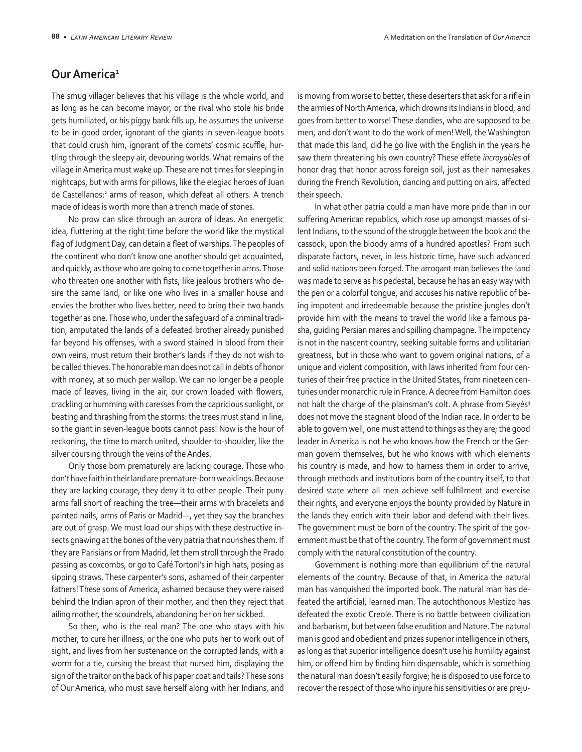## **Our America<sup>1</sup>**

The smug villager believes that his village is the whole world, and as long as he can become mayor, or the rival who stole his bride gets humiliated, or his piggy bank fills up, he assumes the universe to be in good order, ignorant of the giants in seven-league boots that could crush him, ignorant of the comets' cosmic scuffle, hurtling through the sleepy air, devouring worlds. What remains of the village in America must wake up. These are not times for sleeping in nightcaps, but with arms for pillows, like the elegiac heroes of Juan de Castellanos:<sup>2</sup> arms of reason, which defeat all others. A trench made of ideas is worth more than a trench made of stones.

No prow can slice through an aurora of ideas. An energetic idea, fluttering at the right time before the world like the mystical flag of Judgment Day, can detain a fleet of warships. The peoples of the continent who don't know one another should get acquainted, and quickly, as those who are going to come together in arms. Those who threaten one another with fists, like jealous brothers who desire the same land, or like one who lives in a smaller house and envies the brother who lives better, need to bring their two hands together as one. Those who, under the safeguard of a criminal tradition, amputated the lands of a defeated brother already punished far beyond his offenses, with a sword stained in blood from their own veins, must return their brother's lands if they do not wish to be called thieves. The honorable man does not call in debts of honor with money, at so much per wallop. We can no longer be a people made of leaves, living in the air, our crown loaded with flowers, crackling or humming with caresses from the capricious sunlight, or beating and thrashing from the storms: the trees must stand in line, so the giant in seven-league boots cannot pass! Now is the hour of reckoning, the time to march united, shoulder-to-shoulder, like the silver coursing through the veins of the Andes.

Only those born prematurely are lacking courage. Those who don't have faith in their land are premature-born weaklings. Because they are lacking courage, they deny it to other people. Their puny arms fall short of reaching the tree—their arms with bracelets and painted nails, arms of Paris or Madrid—, yet they say the branches are out of grasp. We must load our ships with these destructive insects gnawing at the bones of the very patria that nourishes them. If they are Parisians or from Madrid, let them stroll through the Prado passing as coxcombs, or go to Café Tortoni's in high hats, posing as sipping straws. These carpenter's sons, ashamed of their carpenter fathers! These sons of America, ashamed because they were raised behind the Indian apron of their mother, and then they reject that ailing mother, the scoundrels, abandoning her on her sickbed.

So then, who is the real man? The one who stays with his mother, to cure her illness, or the one who puts her to work out of sight, and lives from her sustenance on the corrupted lands, with a worm for a tie, cursing the breast that nursed him, displaying the sign of the traitor on the back of his paper coat and tails? These sons of Our America, who must save herself along with her Indians, and

is moving from worse to better, these deserters that ask for a rifle in the armies of North America, which drowns its Indians in blood, and goes from better to worse! These dandies, who are supposed to be men, and don't want to do the work of men! Well, the Washington that made this land, did he go live with the English in the years he saw them threatening his own country? These effete *incroyables* of honor drag that honor across foreign soil, just as their namesakes during the French Revolution, dancing and putting on airs, affected their speech.

In what other patria could a man have more pride than in our suffering American republics, which rose up amongst masses of silent Indians, to the sound of the struggle between the book and the cassock, upon the bloody arms of a hundred apostles? From such disparate factors, never, in less historic time, have such advanced and solid nations been forged. The arrogant man believes the land was made to serve as his pedestal, because he has an easy way with the pen or a colorful tongue, and accuses his native republic of being impotent and irredeemable because the pristine jungles don't provide him with the means to travel the world like a famous pasha, guiding Persian mares and spilling champagne. The impotency is not in the nascent country, seeking suitable forms and utilitarian greatness, but in those who want to govern original nations, of a unique and violent composition, with laws inherited from four centuries of their free practice in the United States, from nineteen centuries under monarchic rule in France. A decree from Hamilton does not halt the charge of the plainsman's colt. A phrase from Sieyés<sup>3</sup> does not move the stagnant blood of the Indian race. In order to be able to govern well, one must attend to things as they are; the good leader in America is not he who knows how the French or the German govern themselves, but he who knows with which elements his country is made, and how to harness them in order to arrive, through methods and institutions born of the country itself, to that desired state where all men achieve self-fulfillment and exercise their rights, and everyone enjoys the bounty provided by Nature in the lands they enrich with their labor and defend with their lives. The government must be born of the country. The spirit of the government must be that of the country. The form of government must comply with the natural constitution of the country.

Government is nothing more than equilibrium of the natural elements of the country. Because of that, in America the natural man has vanquished the imported book. The natural man has defeated the artificial, learned man. The autochthonous Mestizo has defeated the exotic Creole. There is no battle between civilization and barbarism, but between false erudition and Nature. The natural man is good and obedient and prizes superior intelligence in others, as long as that superior intelligence doesn't use his humility against him, or offend him by finding him dispensable, which is something the natural man doesn't easily forgive; he is disposed to use force to recover the respect of those who injure his sensitivities or are preju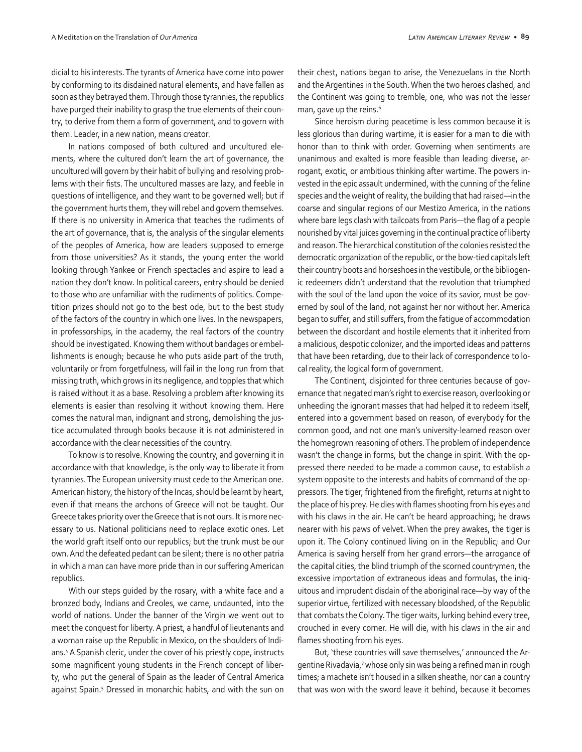dicial to his interests. The tyrants of America have come into power by conforming to its disdained natural elements, and have fallen as soon as they betrayed them. Through those tyrannies, the republics have purged their inability to grasp the true elements of their country, to derive from them a form of government, and to govern with them. Leader, in a new nation, means creator.

In nations composed of both cultured and uncultured elements, where the cultured don't learn the art of governance, the uncultured will govern by their habit of bullying and resolving problems with their fists. The uncultured masses are lazy, and feeble in questions of intelligence, and they want to be governed well; but if the government hurts them, they will rebel and govern themselves. If there is no university in America that teaches the rudiments of the art of governance, that is, the analysis of the singular elements of the peoples of America, how are leaders supposed to emerge from those universities? As it stands, the young enter the world looking through Yankee or French spectacles and aspire to lead a nation they don't know. In political careers, entry should be denied to those who are unfamiliar with the rudiments of politics. Competition prizes should not go to the best ode, but to the best study of the factors of the country in which one lives. In the newspapers, in professorships, in the academy, the real factors of the country should be investigated. Knowing them without bandages or embellishments is enough; because he who puts aside part of the truth, voluntarily or from forgetfulness, will fail in the long run from that missing truth, which grows in its negligence, and topples that which is raised without it as a base. Resolving a problem after knowing its elements is easier than resolving it without knowing them. Here comes the natural man, indignant and strong, demolishing the justice accumulated through books because it is not administered in accordance with the clear necessities of the country.

To know is to resolve. Knowing the country, and governing it in accordance with that knowledge, is the only way to liberate it from tyrannies. The European university must cede to the American one. American history, the history of the Incas, should be learnt by heart, even if that means the archons of Greece will not be taught. Our Greece takes priority over the Greece that is not ours. It is more necessary to us. National politicians need to replace exotic ones. Let the world graft itself onto our republics; but the trunk must be our own. And the defeated pedant can be silent; there is no other patria in which a man can have more pride than in our suffering American republics.

With our steps guided by the rosary, with a white face and a bronzed body, Indians and Creoles, we came, undaunted, into the world of nations. Under the banner of the Virgin we went out to meet the conquest for liberty. A priest, a handful of lieutenants and a woman raise up the Republic in Mexico, on the shoulders of Indians.4 A Spanish cleric, under the cover of his priestly cope, instructs some magnificent young students in the French concept of liberty, who put the general of Spain as the leader of Central America against Spain.5 Dressed in monarchic habits, and with the sun on their chest, nations began to arise, the Venezuelans in the North and the Argentines in the South. When the two heroes clashed, and the Continent was going to tremble, one, who was not the lesser man, gave up the reins.<sup>6</sup>

Since heroism during peacetime is less common because it is less glorious than during wartime, it is easier for a man to die with honor than to think with order. Governing when sentiments are unanimous and exalted is more feasible than leading diverse, arrogant, exotic, or ambitious thinking after wartime. The powers invested in the epic assault undermined, with the cunning of the feline species and the weight of reality, the building that had raised—in the coarse and singular regions of our Mestizo America, in the nations where bare legs clash with tailcoats from Paris—the flag of a people nourished by vital juices governing in the continual practice of liberty and reason. The hierarchical constitution of the colonies resisted the democratic organization of the republic, or the bow-tied capitals left their country boots and horseshoes in the vestibule, or the bibliogenic redeemers didn't understand that the revolution that triumphed with the soul of the land upon the voice of its savior, must be governed by soul of the land, not against her nor without her. America began to suffer, and still suffers, from the fatigue of accommodation between the discordant and hostile elements that it inherited from a malicious, despotic colonizer, and the imported ideas and patterns that have been retarding, due to their lack of correspondence to local reality, the logical form of government.

The Continent, disjointed for three centuries because of governance that negated man's right to exercise reason, overlooking or unheeding the ignorant masses that had helped it to redeem itself, entered into a government based on reason, of everybody for the common good, and not one man's university-learned reason over the homegrown reasoning of others. The problem of independence wasn't the change in forms, but the change in spirit. With the oppressed there needed to be made a common cause, to establish a system opposite to the interests and habits of command of the oppressors. The tiger, frightened from the firefight, returns at night to the place of his prey. He dies with flames shooting from his eyes and with his claws in the air. He can't be heard approaching; he draws nearer with his paws of velvet. When the prey awakes, the tiger is upon it. The Colony continued living on in the Republic; and Our America is saving herself from her grand errors—the arrogance of the capital cities, the blind triumph of the scorned countrymen, the excessive importation of extraneous ideas and formulas, the iniquitous and imprudent disdain of the aboriginal race—by way of the superior virtue, fertilized with necessary bloodshed, of the Republic that combats the Colony. The tiger waits, lurking behind every tree, crouched in every corner. He will die, with his claws in the air and flames shooting from his eyes.

But, 'these countries will save themselves,' announced the Argentine Rivadavia,7 whose only sin was being a refined man in rough times; a machete isn't housed in a silken sheathe, nor can a country that was won with the sword leave it behind, because it becomes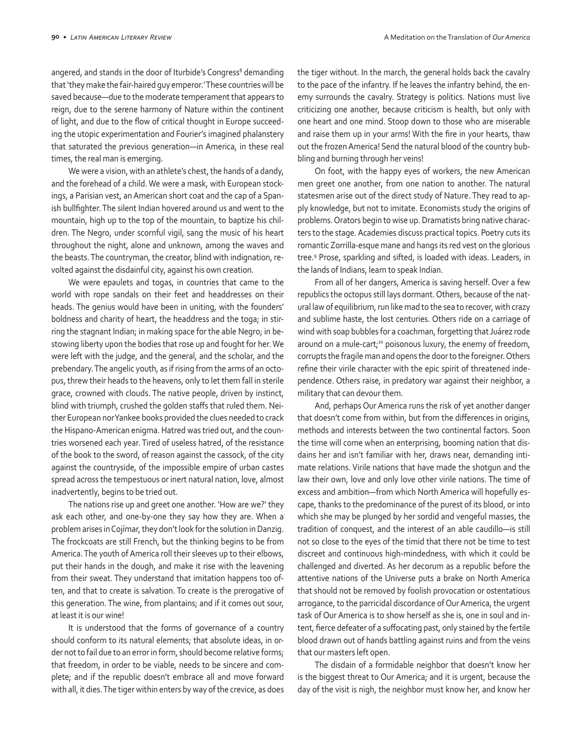angered, and stands in the door of Iturbide's Congress<sup>8</sup> demanding that 'they make the fair-haired guy emperor.' These countries will be saved because—due to the moderate temperament that appears to reign, due to the serene harmony of Nature within the continent of light, and due to the flow of critical thought in Europe succeeding the utopic experimentation and Fourier's imagined phalanstery that saturated the previous generation—in America, in these real times, the real man is emerging.

We were a vision, with an athlete's chest, the hands of a dandy, and the forehead of a child. We were a mask, with European stockings, a Parisian vest, an American short coat and the cap of a Spanish bullfighter. The silent Indian hovered around us and went to the mountain, high up to the top of the mountain, to baptize his children. The Negro, under scornful vigil, sang the music of his heart throughout the night, alone and unknown, among the waves and the beasts. The countryman, the creator, blind with indignation, revolted against the disdainful city, against his own creation.

We were epaulets and togas, in countries that came to the world with rope sandals on their feet and headdresses on their heads. The genius would have been in uniting, with the founders' boldness and charity of heart, the headdress and the toga; in stirring the stagnant Indian; in making space for the able Negro; in bestowing liberty upon the bodies that rose up and fought for her. We were left with the judge, and the general, and the scholar, and the prebendary. The angelic youth, as if rising from the arms of an octopus, threw their heads to the heavens, only to let them fall in sterile grace, crowned with clouds. The native people, driven by instinct, blind with triumph, crushed the golden staffs that ruled them. Neither European nor Yankee books provided the clues needed to crack the Hispano-American enigma. Hatred was tried out, and the countries worsened each year. Tired of useless hatred, of the resistance of the book to the sword, of reason against the cassock, of the city against the countryside, of the impossible empire of urban castes spread across the tempestuous or inert natural nation, love, almost inadvertently, begins to be tried out.

The nations rise up and greet one another. 'How are we?' they ask each other, and one-by-one they say how they are. When a problem arises in Cojímar, they don't look for the solution in Danzig. The frockcoats are still French, but the thinking begins to be from America. The youth of America roll their sleeves up to their elbows, put their hands in the dough, and make it rise with the leavening from their sweat. They understand that imitation happens too often, and that to create is salvation. To create is the prerogative of this generation. The wine, from plantains; and if it comes out sour, at least it is our wine!

It is understood that the forms of governance of a country should conform to its natural elements; that absolute ideas, in order not to fail due to an error in form, should become relative forms; that freedom, in order to be viable, needs to be sincere and complete; and if the republic doesn't embrace all and move forward with all, it dies. The tiger within enters by way of the crevice, as does

the tiger without. In the march, the general holds back the cavalry to the pace of the infantry. If he leaves the infantry behind, the enemy surrounds the cavalry. Strategy is politics. Nations must live criticizing one another, because criticism is health, but only with one heart and one mind. Stoop down to those who are miserable and raise them up in your arms! With the fire in your hearts, thaw out the frozen America! Send the natural blood of the country bubbling and burning through her veins!

On foot, with the happy eyes of workers, the new American men greet one another, from one nation to another. The natural statesmen arise out of the direct study of Nature. They read to apply knowledge, but not to imitate. Economists study the origins of problems. Orators begin to wise up. Dramatists bring native characters to the stage. Academies discuss practical topics. Poetry cuts its romantic Zorrilla-esque mane and hangs its red vest on the glorious tree.9 Prose, sparkling and sifted, is loaded with ideas. Leaders, in the lands of Indians, learn to speak Indian.

From all of her dangers, America is saving herself. Over a few republics the octopus still lays dormant. Others, because of the natural law of equilibrium, run like mad to the sea to recover, with crazy and sublime haste, the lost centuries. Others ride on a carriage of wind with soap bubbles for a coachman, forgetting that Juárez rode around on a mule-cart;<sup>10</sup> poisonous luxury, the enemy of freedom, corrupts the fragile man and opens the door to the foreigner. Others refine their virile character with the epic spirit of threatened independence. Others raise, in predatory war against their neighbor, a military that can devour them.

And, perhaps Our America runs the risk of yet another danger that doesn't come from within, but from the differences in origins, methods and interests between the two continental factors. Soon the time will come when an enterprising, booming nation that disdains her and isn't familiar with her, draws near, demanding intimate relations. Virile nations that have made the shotgun and the law their own, love and only love other virile nations. The time of excess and ambition—from which North America will hopefully escape, thanks to the predominance of the purest of its blood, or into which she may be plunged by her sordid and vengeful masses, the tradition of conquest, and the interest of an able caudillo—is still not so close to the eyes of the timid that there not be time to test discreet and continuous high-mindedness, with which it could be challenged and diverted. As her decorum as a republic before the attentive nations of the Universe puts a brake on North America that should not be removed by foolish provocation or ostentatious arrogance, to the parricidal discordance of Our America, the urgent task of Our America is to show herself as she is, one in soul and intent, fierce defeater of a suffocating past, only stained by the fertile blood drawn out of hands battling against ruins and from the veins that our masters left open.

The disdain of a formidable neighbor that doesn't know her is the biggest threat to Our America; and it is urgent, because the day of the visit is nigh, the neighbor must know her, and know her